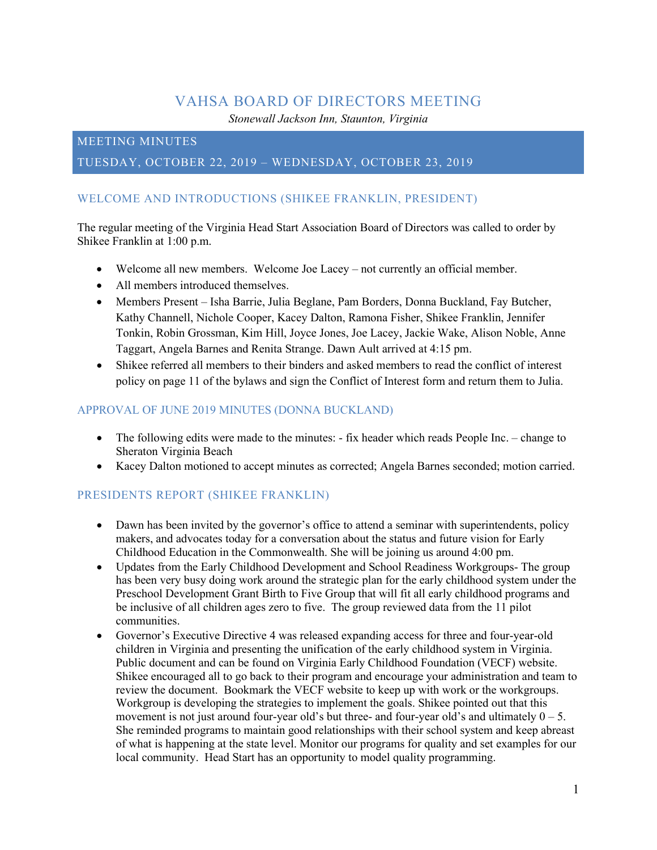# VAHSA BOARD OF DIRECTORS MEETING

*Stonewall Jackson Inn, Staunton, Virginia*

## MEETING MINUTES

# TUESDAY, OCTOBER 22, 2019 – WEDNESDAY, OCTOBER 23, 2019

# WELCOME AND INTRODUCTIONS (SHIKEE FRANKLIN, PRESIDENT)

The regular meeting of the Virginia Head Start Association Board of Directors was called to order by Shikee Franklin at 1:00 p.m.

- Welcome all new members. Welcome Joe Lacey not currently an official member.
- All members introduced themselves.
- Members Present Isha Barrie, Julia Beglane, Pam Borders, Donna Buckland, Fay Butcher, Kathy Channell, Nichole Cooper, Kacey Dalton, Ramona Fisher, Shikee Franklin, Jennifer Tonkin, Robin Grossman, Kim Hill, Joyce Jones, Joe Lacey, Jackie Wake, Alison Noble, Anne Taggart, Angela Barnes and Renita Strange. Dawn Ault arrived at 4:15 pm.
- Shikee referred all members to their binders and asked members to read the conflict of interest policy on page 11 of the bylaws and sign the Conflict of Interest form and return them to Julia.

#### APPROVAL OF JUNE 2019 MINUTES (DONNA BUCKLAND)

- The following edits were made to the minutes:  $-$  fix header which reads People Inc. change to Sheraton Virginia Beach
- Kacey Dalton motioned to accept minutes as corrected; Angela Barnes seconded; motion carried.

## PRESIDENTS REPORT (SHIKEE FRANKLIN)

- Dawn has been invited by the governor's office to attend a seminar with superintendents, policy makers, and advocates today for a conversation about the status and future vision for Early Childhood Education in the Commonwealth. She will be joining us around 4:00 pm.
- Updates from the Early Childhood Development and School Readiness Workgroups- The group has been very busy doing work around the strategic plan for the early childhood system under the Preschool Development Grant Birth to Five Group that will fit all early childhood programs and be inclusive of all children ages zero to five. The group reviewed data from the 11 pilot communities.
- Governor's Executive Directive 4 was released expanding access for three and four-year-old children in Virginia and presenting the unification of the early childhood system in Virginia. Public document and can be found on Virginia Early Childhood Foundation (VECF) website. Shikee encouraged all to go back to their program and encourage your administration and team to review the document. Bookmark the VECF website to keep up with work or the workgroups. Workgroup is developing the strategies to implement the goals. Shikee pointed out that this movement is not just around four-year old's but three- and four-year old's and ultimately  $0 - 5$ . She reminded programs to maintain good relationships with their school system and keep abreast of what is happening at the state level. Monitor our programs for quality and set examples for our local community. Head Start has an opportunity to model quality programming.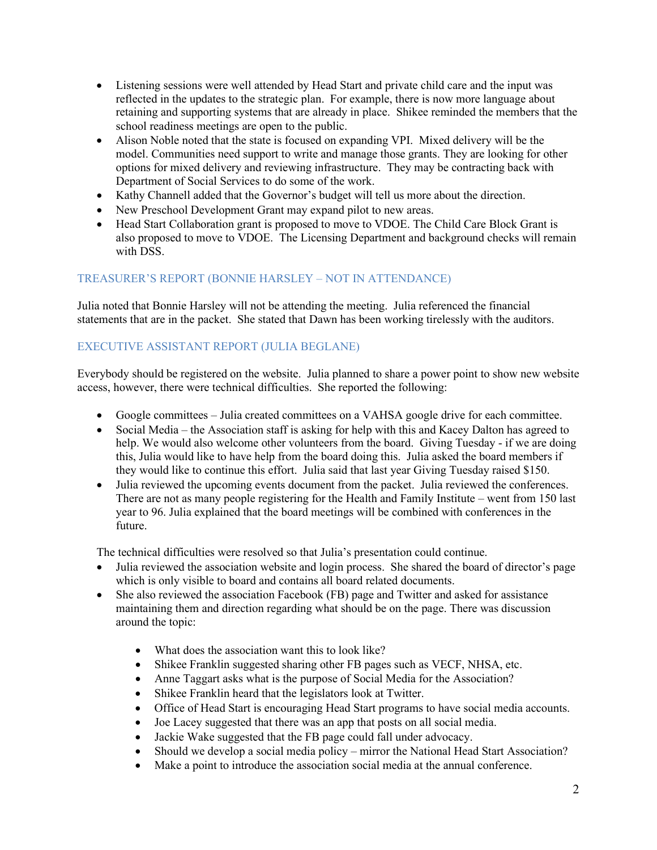- Listening sessions were well attended by Head Start and private child care and the input was reflected in the updates to the strategic plan. For example, there is now more language about retaining and supporting systems that are already in place. Shikee reminded the members that the school readiness meetings are open to the public.
- Alison Noble noted that the state is focused on expanding VPI. Mixed delivery will be the model. Communities need support to write and manage those grants. They are looking for other options for mixed delivery and reviewing infrastructure. They may be contracting back with Department of Social Services to do some of the work.
- Kathy Channell added that the Governor's budget will tell us more about the direction.
- New Preschool Development Grant may expand pilot to new areas.
- Head Start Collaboration grant is proposed to move to VDOE. The Child Care Block Grant is also proposed to move to VDOE. The Licensing Department and background checks will remain with DSS.

#### TREASURER'S REPORT (BONNIE HARSLEY – NOT IN ATTENDANCE)

Julia noted that Bonnie Harsley will not be attending the meeting. Julia referenced the financial statements that are in the packet. She stated that Dawn has been working tirelessly with the auditors.

## EXECUTIVE ASSISTANT REPORT (JULIA BEGLANE)

Everybody should be registered on the website. Julia planned to share a power point to show new website access, however, there were technical difficulties. She reported the following:

- Google committees Julia created committees on a VAHSA google drive for each committee.
- Social Media the Association staff is asking for help with this and Kacey Dalton has agreed to help. We would also welcome other volunteers from the board. Giving Tuesday - if we are doing this, Julia would like to have help from the board doing this. Julia asked the board members if they would like to continue this effort. Julia said that last year Giving Tuesday raised \$150.
- Julia reviewed the upcoming events document from the packet. Julia reviewed the conferences. There are not as many people registering for the Health and Family Institute – went from 150 last year to 96. Julia explained that the board meetings will be combined with conferences in the future.

The technical difficulties were resolved so that Julia's presentation could continue.

- Julia reviewed the association website and login process. She shared the board of director's page which is only visible to board and contains all board related documents.
- She also reviewed the association Facebook (FB) page and Twitter and asked for assistance maintaining them and direction regarding what should be on the page. There was discussion around the topic:
	- What does the association want this to look like?
	- Shikee Franklin suggested sharing other FB pages such as VECF, NHSA, etc.
	- Anne Taggart asks what is the purpose of Social Media for the Association?
	- Shikee Franklin heard that the legislators look at Twitter.
	- Office of Head Start is encouraging Head Start programs to have social media accounts.
	- Joe Lacey suggested that there was an app that posts on all social media.
	- Jackie Wake suggested that the FB page could fall under advocacy.
	- Should we develop a social media policy mirror the National Head Start Association?
	- Make a point to introduce the association social media at the annual conference.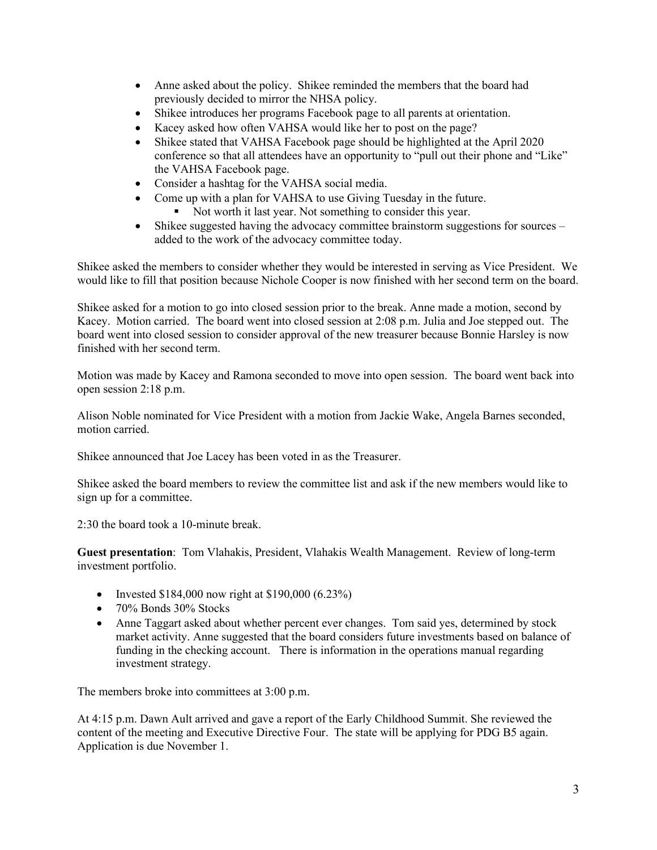- Anne asked about the policy. Shikee reminded the members that the board had previously decided to mirror the NHSA policy.
- Shikee introduces her programs Facebook page to all parents at orientation.
- Kacey asked how often VAHSA would like her to post on the page?
- Shikee stated that VAHSA Facebook page should be highlighted at the April 2020 conference so that all attendees have an opportunity to "pull out their phone and "Like" the VAHSA Facebook page.
- Consider a hashtag for the VAHSA social media.
- Come up with a plan for VAHSA to use Giving Tuesday in the future. Not worth it last year. Not something to consider this year.
- Shikee suggested having the advocacy committee brainstorm suggestions for sources added to the work of the advocacy committee today.

Shikee asked the members to consider whether they would be interested in serving as Vice President. We would like to fill that position because Nichole Cooper is now finished with her second term on the board.

Shikee asked for a motion to go into closed session prior to the break. Anne made a motion, second by Kacey. Motion carried. The board went into closed session at 2:08 p.m. Julia and Joe stepped out. The board went into closed session to consider approval of the new treasurer because Bonnie Harsley is now finished with her second term.

Motion was made by Kacey and Ramona seconded to move into open session. The board went back into open session 2:18 p.m.

Alison Noble nominated for Vice President with a motion from Jackie Wake, Angela Barnes seconded, motion carried.

Shikee announced that Joe Lacey has been voted in as the Treasurer.

Shikee asked the board members to review the committee list and ask if the new members would like to sign up for a committee.

2:30 the board took a 10-minute break.

**Guest presentation**: Tom Vlahakis, President, Vlahakis Wealth Management. Review of long-term investment portfolio.

- Invested \$184,000 now right at \$190,000  $(6.23\%)$
- 70% Bonds 30% Stocks
- Anne Taggart asked about whether percent ever changes. Tom said yes, determined by stock market activity. Anne suggested that the board considers future investments based on balance of funding in the checking account. There is information in the operations manual regarding investment strategy.

The members broke into committees at 3:00 p.m.

At 4:15 p.m. Dawn Ault arrived and gave a report of the Early Childhood Summit. She reviewed the content of the meeting and Executive Directive Four. The state will be applying for PDG B5 again. Application is due November 1.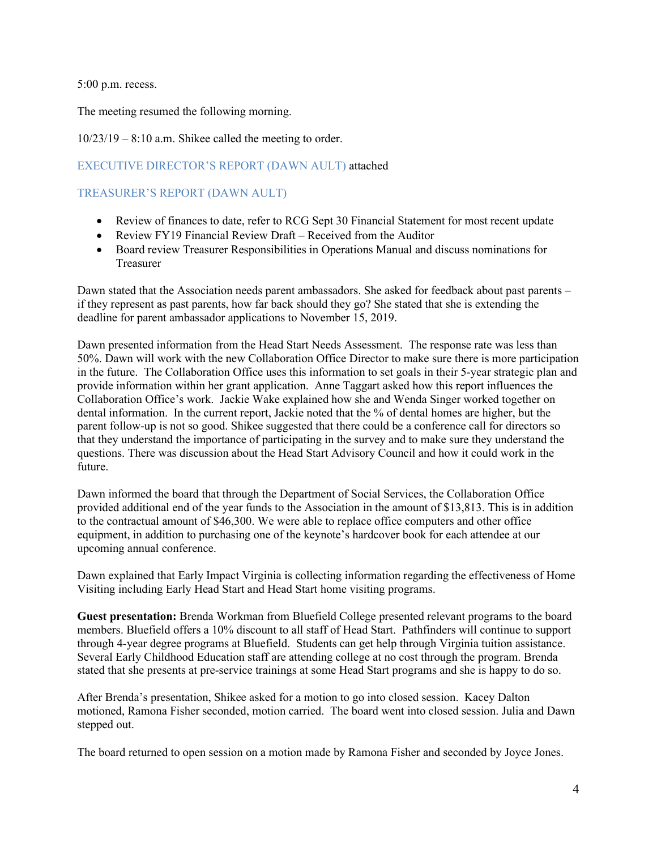5:00 p.m. recess.

The meeting resumed the following morning.

 $10/23/19 - 8:10$  a.m. Shikee called the meeting to order.

### EXECUTIVE DIRECTOR'S REPORT (DAWN AULT) attached

# TREASURER'S REPORT (DAWN AULT)

- Review of finances to date, refer to RCG Sept 30 Financial Statement for most recent update
- Review FY19 Financial Review Draft Received from the Auditor
- Board review Treasurer Responsibilities in Operations Manual and discuss nominations for Treasurer

Dawn stated that the Association needs parent ambassadors. She asked for feedback about past parents – if they represent as past parents, how far back should they go? She stated that she is extending the deadline for parent ambassador applications to November 15, 2019.

Dawn presented information from the Head Start Needs Assessment. The response rate was less than 50%. Dawn will work with the new Collaboration Office Director to make sure there is more participation in the future. The Collaboration Office uses this information to set goals in their 5-year strategic plan and provide information within her grant application. Anne Taggart asked how this report influences the Collaboration Office's work. Jackie Wake explained how she and Wenda Singer worked together on dental information. In the current report, Jackie noted that the % of dental homes are higher, but the parent follow-up is not so good. Shikee suggested that there could be a conference call for directors so that they understand the importance of participating in the survey and to make sure they understand the questions. There was discussion about the Head Start Advisory Council and how it could work in the future.

Dawn informed the board that through the Department of Social Services, the Collaboration Office provided additional end of the year funds to the Association in the amount of \$13,813. This is in addition to the contractual amount of \$46,300. We were able to replace office computers and other office equipment, in addition to purchasing one of the keynote's hardcover book for each attendee at our upcoming annual conference.

Dawn explained that Early Impact Virginia is collecting information regarding the effectiveness of Home Visiting including Early Head Start and Head Start home visiting programs.

**Guest presentation:** Brenda Workman from Bluefield College presented relevant programs to the board members. Bluefield offers a 10% discount to all staff of Head Start. Pathfinders will continue to support through 4-year degree programs at Bluefield. Students can get help through Virginia tuition assistance. Several Early Childhood Education staff are attending college at no cost through the program. Brenda stated that she presents at pre-service trainings at some Head Start programs and she is happy to do so.

After Brenda's presentation, Shikee asked for a motion to go into closed session. Kacey Dalton motioned, Ramona Fisher seconded, motion carried. The board went into closed session. Julia and Dawn stepped out.

The board returned to open session on a motion made by Ramona Fisher and seconded by Joyce Jones.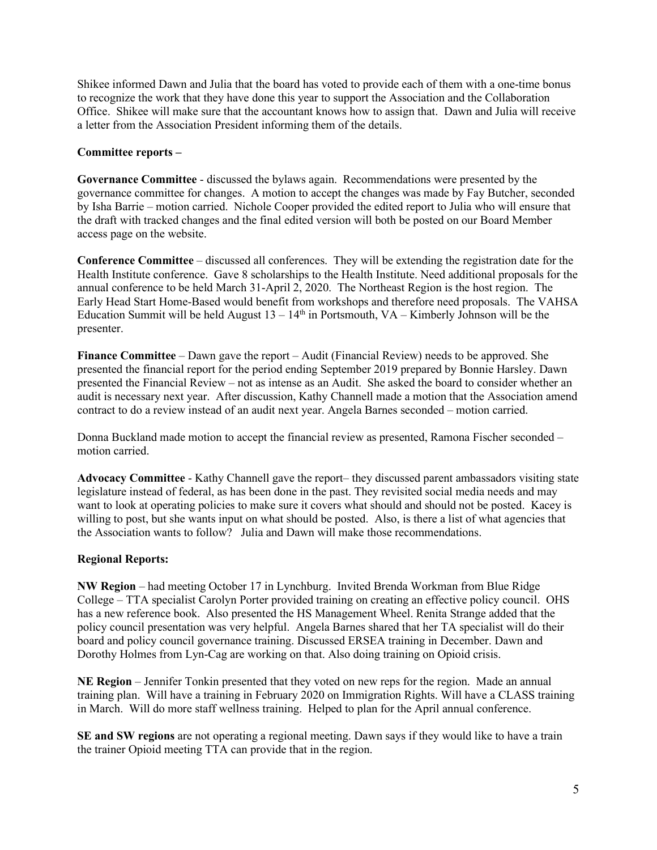Shikee informed Dawn and Julia that the board has voted to provide each of them with a one-time bonus to recognize the work that they have done this year to support the Association and the Collaboration Office. Shikee will make sure that the accountant knows how to assign that. Dawn and Julia will receive a letter from the Association President informing them of the details.

#### **Committee reports –**

**Governance Committee** - discussed the bylaws again. Recommendations were presented by the governance committee for changes. A motion to accept the changes was made by Fay Butcher, seconded by Isha Barrie – motion carried. Nichole Cooper provided the edited report to Julia who will ensure that the draft with tracked changes and the final edited version will both be posted on our Board Member access page on the website.

**Conference Committee** – discussed all conferences. They will be extending the registration date for the Health Institute conference. Gave 8 scholarships to the Health Institute. Need additional proposals for the annual conference to be held March 31-April 2, 2020. The Northeast Region is the host region. The Early Head Start Home-Based would benefit from workshops and therefore need proposals. The VAHSA Education Summit will be held August  $13 - 14<sup>th</sup>$  in Portsmouth, VA – Kimberly Johnson will be the presenter.

**Finance Committee** – Dawn gave the report – Audit (Financial Review) needs to be approved. She presented the financial report for the period ending September 2019 prepared by Bonnie Harsley. Dawn presented the Financial Review – not as intense as an Audit. She asked the board to consider whether an audit is necessary next year. After discussion, Kathy Channell made a motion that the Association amend contract to do a review instead of an audit next year. Angela Barnes seconded – motion carried.

Donna Buckland made motion to accept the financial review as presented, Ramona Fischer seconded – motion carried.

**Advocacy Committee** - Kathy Channell gave the report– they discussed parent ambassadors visiting state legislature instead of federal, as has been done in the past. They revisited social media needs and may want to look at operating policies to make sure it covers what should and should not be posted. Kacey is willing to post, but she wants input on what should be posted. Also, is there a list of what agencies that the Association wants to follow? Julia and Dawn will make those recommendations.

#### **Regional Reports:**

**NW Region** – had meeting October 17 in Lynchburg. Invited Brenda Workman from Blue Ridge College – TTA specialist Carolyn Porter provided training on creating an effective policy council. OHS has a new reference book. Also presented the HS Management Wheel. Renita Strange added that the policy council presentation was very helpful. Angela Barnes shared that her TA specialist will do their board and policy council governance training. Discussed ERSEA training in December. Dawn and Dorothy Holmes from Lyn-Cag are working on that. Also doing training on Opioid crisis.

**NE Region** – Jennifer Tonkin presented that they voted on new reps for the region. Made an annual training plan. Will have a training in February 2020 on Immigration Rights. Will have a CLASS training in March. Will do more staff wellness training. Helped to plan for the April annual conference.

**SE and SW regions** are not operating a regional meeting. Dawn says if they would like to have a train the trainer Opioid meeting TTA can provide that in the region.